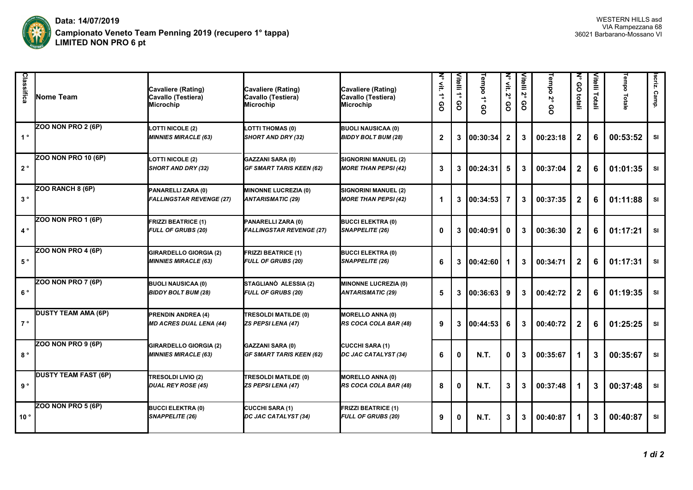

| Classifica     | Nome Team                   | Cavaliere (Rating)<br>Cavallo (Testiera)<br>Microchip        | Cavaliere (Rating)<br>Cavallo (Testiera)<br>Microchip      | Cavaliere (Rating)<br>Cavallo (Testiera)<br><b>Microchip</b> | ξ<br>$\mathop{\cong}_{}$<br>$\stackrel{\scriptscriptstyle\bullet}{\scriptscriptstyle\bullet}$<br>စ္ပ | Vitelli 1°<br>ဝ္ပ | Tempo<br>$\vec{\phantom{a}}$<br>၉ | N° vit.<br>پم<br>80 | Vitelli<br>$\mathbf{v}_\mathrm{o}$<br>၉ | Tempo 2°<br>60 | $\overline{z}$<br>80<br>totali | Vitelli Totali | Tempo<br>Totale | Iscriz.<br>Camp. |
|----------------|-----------------------------|--------------------------------------------------------------|------------------------------------------------------------|--------------------------------------------------------------|------------------------------------------------------------------------------------------------------|-------------------|-----------------------------------|---------------------|-----------------------------------------|----------------|--------------------------------|----------------|-----------------|------------------|
| 1 <sup>°</sup> | ZOO NON PRO 2 (6P)          | <b>LOTTI NICOLE (2)</b><br><b>MINNIES MIRACLE (63)</b>       | <b>LOTTI THOMAS (0)</b><br>SHORT AND DRY (32)              | <b>BUOLI NAUSICAA (0)</b><br><b>BIDDY BOLT BUM (28)</b>      | $\mathbf{2}$                                                                                         | 3                 | 00:30:34                          | $\overline{2}$      | 3                                       | 00:23:18       | $\mathbf{2}$                   | 6              | 00:53:52        | SI               |
| $2^{\circ}$    | ZOO NON PRO 10 (6P)         | <b>LOTTI NICOLE (2)</b><br>SHORT AND DRY (32)                | <b>GAZZANI SARA (0)</b><br><b>GF SMART TARIS KEEN (62)</b> | <b>SIGNORINI MANUEL (2)</b><br><b>MORE THAN PEPSI (42)</b>   | 3                                                                                                    | 3                 | 100:24:31                         | 5                   | 3                                       | 00:37:04       | $\mathbf{2}$                   | 6              | 01:01:35        | <b>SI</b>        |
| $3°$           | ZOO RANCH 8 (6P)            | PANARELLI ZARA (0)<br><b>FALLINGSTAR REVENGE (27)</b>        | <b>MINONNE LUCREZIA (0)</b><br><b>ANTARISMATIC (29)</b>    | SIGNORINI MANUEL (2)<br><b>MORE THAN PEPSI (42)</b>          | 1                                                                                                    | 3                 | 00:34:53                          | 7                   | 3                                       | 00:37:35       | $\mathbf{2}$                   | 6              | 01:11:88        | <b>SI</b>        |
| $4^{\circ}$    | ZOO NON PRO 1 (6P)          | <b>FRIZZI BEATRICE (1)</b><br><b>FULL OF GRUBS (20)</b>      | PANARELLI ZARA (0)<br><b>FALLINGSTAR REVENGE (27)</b>      | <b>BUCCI ELEKTRA (0)</b><br>SNAPPELITE (26)                  | $\bf{0}$                                                                                             | 3                 | 100:40:91                         | $\mathbf 0$         | 3                                       | 00:36:30       | $\mathbf{2}$                   | 6              | 01:17:21        | <b>SI</b>        |
| $5°$           | ZOO NON PRO 4 (6P)          | <b>GIRARDELLO GIORGIA (2)</b><br><b>MINNIES MIRACLE (63)</b> | <b>FRIZZI BEATRICE (1)</b><br><b>FULL OF GRUBS (20)</b>    | <b>BUCCI ELEKTRA (0)</b><br>SNAPPELITE (26)                  | 6                                                                                                    | 3                 | 100:42:601                        | 1                   | 3                                       | 00:34:71       | $\mathbf{2}$                   | 6              | 01:17:31        | <b>SI</b>        |
| $6°$           | ZOO NON PRO 7 (6P)          | <b>BUOLI NAUSICAA (0)</b><br><b>BIDDY BOLT BUM (28)</b>      | STAGLIANÒ ALESSIA (2)<br><b>FULL OF GRUBS (20)</b>         | <b>MINONNE LUCREZIA (0)</b><br><b>ANTARISMATIC (29)</b>      | 5                                                                                                    | 3                 | 00:36:63                          | 9                   | 3                                       | 00:42:72       | $\mathbf{2}$                   | 6              | 01:19:35        | SI               |
| 7°             | <b>DUSTY TEAM AMA (6P)</b>  | <b>PRENDIN ANDREA (4)</b><br><b>MD ACRES DUAL LENA (44)</b>  | TRESOLDI MATILDE (0)<br>ZS PEPSI LENA (47)                 | <b>MORELLO ANNA (0)</b><br>RS COCA COLA BAR (48)             | 9                                                                                                    | 3                 | 00:44:53                          | 6                   | 3                                       | 00:40:72       | $\mathbf{2}$                   | 6              | 01:25:25        | <b>SI</b>        |
| $8^{\circ}$    | ZOO NON PRO 9 (6P)          | <b>GIRARDELLO GIORGIA (2)</b><br><b>MINNIES MIRACLE (63)</b> | <b>GAZZANI SARA (0)</b><br><b>GF SMART TARIS KEEN (62)</b> | <b>CUCCHI SARA (1)</b><br>DC JAC CATALYST (34)               | 6                                                                                                    | 0                 | <b>N.T.</b>                       | $\mathbf{0}$        | 3                                       | 00:35:67       | 1                              | 3              | 00:35:67        | SI               |
| 9°             | <b>DUSTY TEAM FAST (6P)</b> | <b>TRESOLDI LIVIO (2)</b><br><b>DUAL REY ROSE (45)</b>       | TRESOLDI MATILDE (0)<br><b>ZS PEPSI LENA (47)</b>          | <b>MORELLO ANNA (0)</b><br>RS COCA COLA BAR (48)             | 8                                                                                                    | 0                 | <b>N.T.</b>                       | 3                   | 3                                       | 00:37:48       | 1                              | 3              | 00:37:48        | <b>SI</b>        |
| 10°            | ZOO NON PRO 5 (6P)          | <b>BUCCI ELEKTRA (0)</b><br>SNAPPELITE (26)                  | <b>CUCCHI SARA (1)</b><br>DC JAC CATALYST (34)             | <b>FRIZZI BEATRICE (1)</b><br><b>FULL OF GRUBS (20)</b>      | 9                                                                                                    | 0                 | <b>N.T.</b>                       | 3                   | 3                                       | 00:40:87       | 1.                             | 3              | 00:40:87        | <b>SI</b>        |